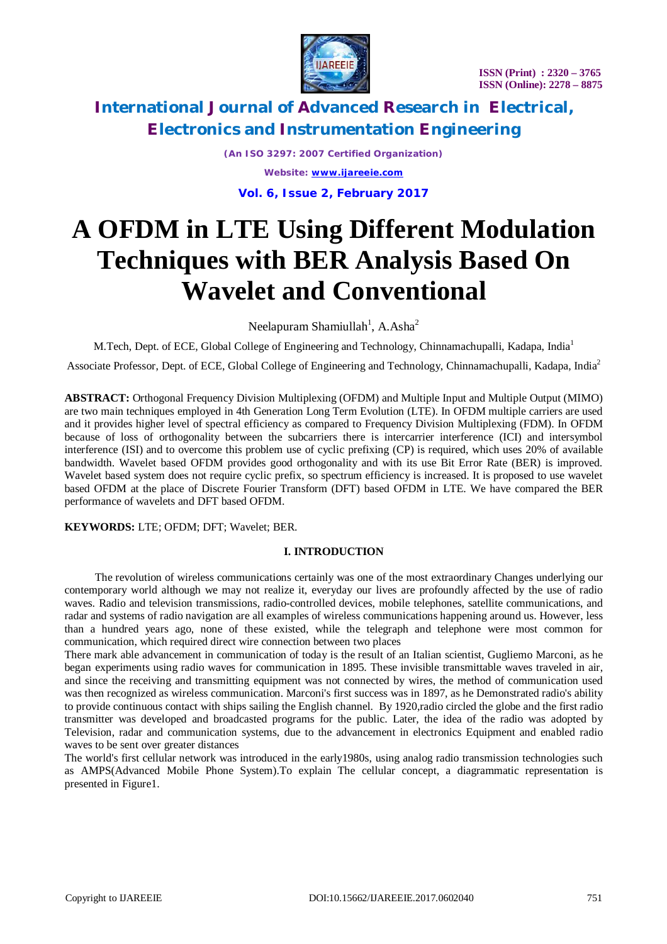



> *(An ISO 3297: 2007 Certified Organization) Website: [www.ijareeie.com](http://www.ijareeie.com)*

**Vol. 6, Issue 2, February 2017**

# **A OFDM in LTE Using Different Modulation Techniques with BER Analysis Based On Wavelet and Conventional**

Neelapuram Shamiullah<sup>1</sup>, A.Asha<sup>2</sup>

M.Tech, Dept. of ECE, Global College of Engineering and Technology, Chinnamachupalli, Kadapa, India<sup>1</sup>

Associate Professor, Dept. of ECE, Global College of Engineering and Technology, Chinnamachupalli, Kadapa, India<sup>2</sup>

**ABSTRACT:** Orthogonal Frequency Division Multiplexing (OFDM) and Multiple Input and Multiple Output (MIMO) are two main techniques employed in 4th Generation Long Term Evolution (LTE). In OFDM multiple carriers are used and it provides higher level of spectral efficiency as compared to Frequency Division Multiplexing (FDM). In OFDM because of loss of orthogonality between the subcarriers there is intercarrier interference (ICI) and intersymbol interference (ISI) and to overcome this problem use of cyclic prefixing (CP) is required, which uses 20% of available bandwidth. Wavelet based OFDM provides good orthogonality and with its use Bit Error Rate (BER) is improved. Wavelet based system does not require cyclic prefix, so spectrum efficiency is increased. It is proposed to use wavelet based OFDM at the place of Discrete Fourier Transform (DFT) based OFDM in LTE. We have compared the BER performance of wavelets and DFT based OFDM.

**KEYWORDS:** LTE; OFDM; DFT; Wavelet; BER.

### **I. INTRODUCTION**

The revolution of wireless communications certainly was one of the most extraordinary Changes underlying our contemporary world although we may not realize it, everyday our lives are profoundly affected by the use of radio waves. Radio and television transmissions, radio-controlled devices, mobile telephones, satellite communications, and radar and systems of radio navigation are all examples of wireless communications happening around us. However, less than a hundred years ago, none of these existed, while the telegraph and telephone were most common for communication, which required direct wire connection between two places

There mark able advancement in communication of today is the result of an Italian scientist, Gugliemo Marconi, as he began experiments using radio waves for communication in 1895. These invisible transmittable waves traveled in air, and since the receiving and transmitting equipment was not connected by wires, the method of communication used was then recognized as wireless communication. Marconi's first success was in 1897, as he Demonstrated radio's ability to provide continuous contact with ships sailing the English channel. By 1920,radio circled the globe and the first radio transmitter was developed and broadcasted programs for the public. Later, the idea of the radio was adopted by Television, radar and communication systems, due to the advancement in electronics Equipment and enabled radio waves to be sent over greater distances

The world's first cellular network was introduced in the early1980s, using analog radio transmission technologies such as AMPS(Advanced Mobile Phone System).To explain The cellular concept, a diagrammatic representation is presented in Figure1.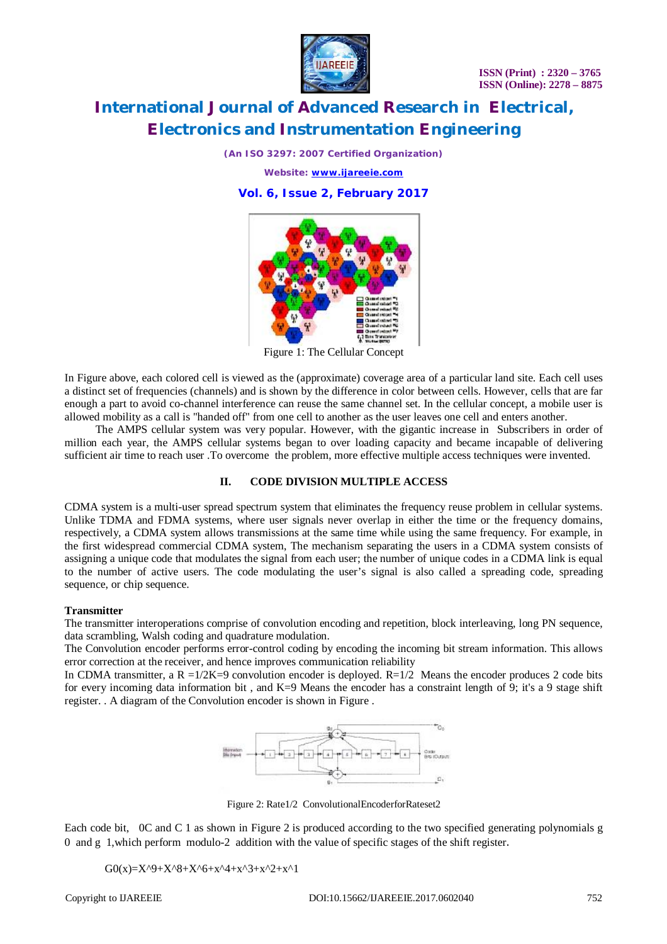**ISSN (Print) : 2320 – 3765 ISSN (Online): 2278 – 8875**



# **International Journal of Advanced Research in Electrical, Electronics and Instrumentation Engineering**

*(An ISO 3297: 2007 Certified Organization) Website: [www.ijareeie.com](http://www.ijareeie.com)*

**Vol. 6, Issue 2, February 2017**



Figure 1: The Cellular Concept

In Figure above, each colored cell is viewed as the (approximate) coverage area of a particular land site. Each cell uses a distinct set of frequencies (channels) and is shown by the difference in color between cells. However, cells that are far enough a part to avoid co-channel interference can reuse the same channel set. In the cellular concept, a mobile user is allowed mobility as a call is "handed off" from one cell to another as the user leaves one cell and enters another.

 The AMPS cellular system was very popular. However, with the gigantic increase in Subscribers in order of million each year, the AMPS cellular systems began to over loading capacity and became incapable of delivering sufficient air time to reach user .To overcome the problem, more effective multiple access techniques were invented.

### **II. CODE DIVISION MULTIPLE ACCESS**

CDMA system is a multi-user spread spectrum system that eliminates the frequency reuse problem in cellular systems. Unlike TDMA and FDMA systems, where user signals never overlap in either the time or the frequency domains, respectively, a CDMA system allows transmissions at the same time while using the same frequency. For example, in the first widespread commercial CDMA system, The mechanism separating the users in a CDMA system consists of assigning a unique code that modulates the signal from each user; the number of unique codes in a CDMA link is equal to the number of active users. The code modulating the user's signal is also called a spreading code, spreading sequence, or chip sequence.

### **Transmitter**

The transmitter interoperations comprise of convolution encoding and repetition, block interleaving, long PN sequence, data scrambling, Walsh coding and quadrature modulation.

The Convolution encoder performs error-control coding by encoding the incoming bit stream information. This allows error correction at the receiver, and hence improves communication reliability

In CDMA transmitter, a  $R = 1/2K=9$  convolution encoder is deployed.  $R=1/2$  Means the encoder produces 2 code bits for every incoming data information bit, and  $K=9$  Means the encoder has a constraint length of 9; it's a 9 stage shift register. . A diagram of the Convolution encoder is shown in Figure .



Figure 2: Rate1/2 ConvolutionalEncoderforRateset2

Each code bit, 0C and C 1 as shown in Figure 2 is produced according to the two specified generating polynomials g 0 and g 1,which perform modulo-2 addition with the value of specific stages of the shift register.

$$
G0(x)\!\!=\!\!X^{\wedge}9\!+\!X^{\wedge}8\!+\!X^{\wedge}6\!+\!x^{\wedge}4\!+\!x^{\wedge}3\!+\!x^{\wedge}2\!+\!x^{\wedge}1
$$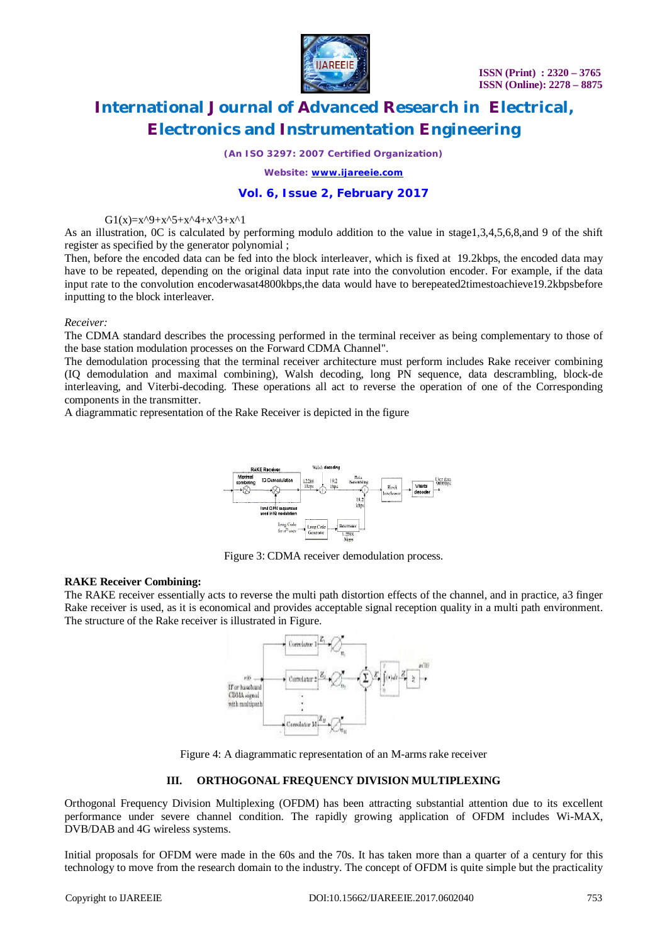

*(An ISO 3297: 2007 Certified Organization)*

*Website: [www.ijareeie.com](http://www.ijareeie.com)*

# **Vol. 6, Issue 2, February 2017**

#### $G1(x)=x^{9}+x^{5}+x^{4}+x^{3}+x^{1}$

As an illustration, 0C is calculated by performing modulo addition to the value in stage1,3,4,5,6,8,and 9 of the shift register as specified by the generator polynomial ;

Then, before the encoded data can be fed into the block interleaver, which is fixed at 19.2kbps, the encoded data may have to be repeated, depending on the original data input rate into the convolution encoder. For example, if the data input rate to the convolution encoderwasat4800kbps,the data would have to berepeated2timestoachieve19.2kbpsbefore inputting to the block interleaver.

#### *Receiver:*

The CDMA standard describes the processing performed in the terminal receiver as being complementary to those of the base station modulation processes on the Forward CDMA Channel".

The demodulation processing that the terminal receiver architecture must perform includes Rake receiver combining (IQ demodulation and maximal combining), Walsh decoding, long PN sequence, data descrambling, block-de interleaving, and Viterbi-decoding. These operations all act to reverse the operation of one of the Corresponding components in the transmitter.

A diagrammatic representation of the Rake Receiver is depicted in the figure



Figure 3: CDMA receiver demodulation process.

### **RAKE Receiver Combining:**

The RAKE receiver essentially acts to reverse the multi path distortion effects of the channel, and in practice, a3 finger Rake receiver is used, as it is economical and provides acceptable signal reception quality in a multi path environment. The structure of the Rake receiver is illustrated in Figure.



Figure 4: A diagrammatic representation of an M-arms rake receiver

#### **III. ORTHOGONAL FREQUENCY DIVISION MULTIPLEXING**

Orthogonal Frequency Division Multiplexing (OFDM) has been attracting substantial attention due to its excellent performance under severe channel condition. The rapidly growing application of OFDM includes Wi-MAX, DVB/DAB and 4G wireless systems.

Initial proposals for OFDM were made in the 60s and the 70s. It has taken more than a quarter of a century for this technology to move from the research domain to the industry. The concept of OFDM is quite simple but the practicality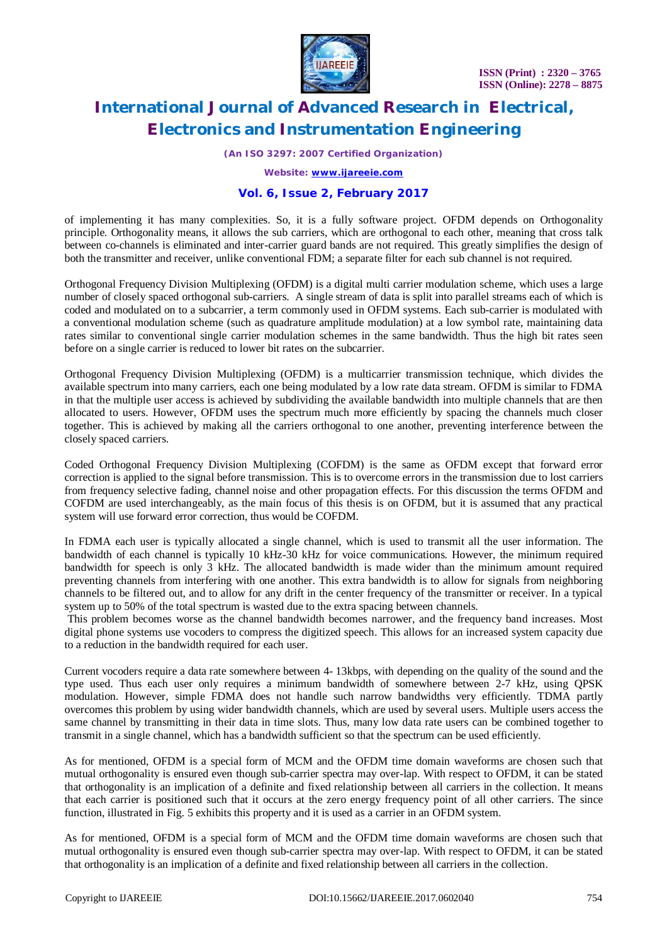

*(An ISO 3297: 2007 Certified Organization)*

*Website: [www.ijareeie.com](http://www.ijareeie.com)*

### **Vol. 6, Issue 2, February 2017**

of implementing it has many complexities. So, it is a fully software project. OFDM depends on Orthogonality principle. Orthogonality means, it allows the sub carriers, which are orthogonal to each other, meaning that cross talk between co-channels is eliminated and inter-carrier guard bands are not required. This greatly simplifies the design of both the transmitter and receiver, unlike conventional FDM; a separate filter for each sub channel is not required.

Orthogonal Frequency Division Multiplexing (OFDM) is a digital multi carrier modulation scheme, which uses a large number of closely spaced orthogonal sub-carriers. A single stream of data is split into parallel streams each of which is coded and modulated on to a subcarrier, a term commonly used in OFDM systems. Each sub-carrier is modulated with a conventional modulation scheme (such as quadrature amplitude modulation) at a low symbol rate, maintaining data rates similar to conventional single carrier modulation schemes in the same bandwidth. Thus the high bit rates seen before on a single carrier is reduced to lower bit rates on the subcarrier.

Orthogonal Frequency Division Multiplexing (OFDM) is a multicarrier transmission technique, which divides the available spectrum into many carriers, each one being modulated by a low rate data stream. OFDM is similar to FDMA in that the multiple user access is achieved by subdividing the available bandwidth into multiple channels that are then allocated to users. However, OFDM uses the spectrum much more efficiently by spacing the channels much closer together. This is achieved by making all the carriers orthogonal to one another, preventing interference between the closely spaced carriers.

Coded Orthogonal Frequency Division Multiplexing (COFDM) is the same as OFDM except that forward error correction is applied to the signal before transmission. This is to overcome errors in the transmission due to lost carriers from frequency selective fading, channel noise and other propagation effects. For this discussion the terms OFDM and COFDM are used interchangeably, as the main focus of this thesis is on OFDM, but it is assumed that any practical system will use forward error correction, thus would be COFDM.

In FDMA each user is typically allocated a single channel, which is used to transmit all the user information. The bandwidth of each channel is typically 10 kHz-30 kHz for voice communications. However, the minimum required bandwidth for speech is only 3 kHz. The allocated bandwidth is made wider than the minimum amount required preventing channels from interfering with one another. This extra bandwidth is to allow for signals from neighboring channels to be filtered out, and to allow for any drift in the center frequency of the transmitter or receiver. In a typical system up to 50% of the total spectrum is wasted due to the extra spacing between channels.

This problem becomes worse as the channel bandwidth becomes narrower, and the frequency band increases. Most digital phone systems use vocoders to compress the digitized speech. This allows for an increased system capacity due to a reduction in the bandwidth required for each user.

Current vocoders require a data rate somewhere between 4- 13kbps, with depending on the quality of the sound and the type used. Thus each user only requires a minimum bandwidth of somewhere between 2-7 kHz, using QPSK modulation. However, simple FDMA does not handle such narrow bandwidths very efficiently. TDMA partly overcomes this problem by using wider bandwidth channels, which are used by several users. Multiple users access the same channel by transmitting in their data in time slots. Thus, many low data rate users can be combined together to transmit in a single channel, which has a bandwidth sufficient so that the spectrum can be used efficiently.

As for mentioned, OFDM is a special form of MCM and the OFDM time domain waveforms are chosen such that mutual orthogonality is ensured even though sub-carrier spectra may over-lap. With respect to OFDM, it can be stated that orthogonality is an implication of a definite and fixed relationship between all carriers in the collection. It means that each carrier is positioned such that it occurs at the zero energy frequency point of all other carriers. The since function, illustrated in Fig. 5 exhibits this property and it is used as a carrier in an OFDM system.

As for mentioned, OFDM is a special form of MCM and the OFDM time domain waveforms are chosen such that mutual orthogonality is ensured even though sub-carrier spectra may over-lap. With respect to OFDM, it can be stated that orthogonality is an implication of a definite and fixed relationship between all carriers in the collection.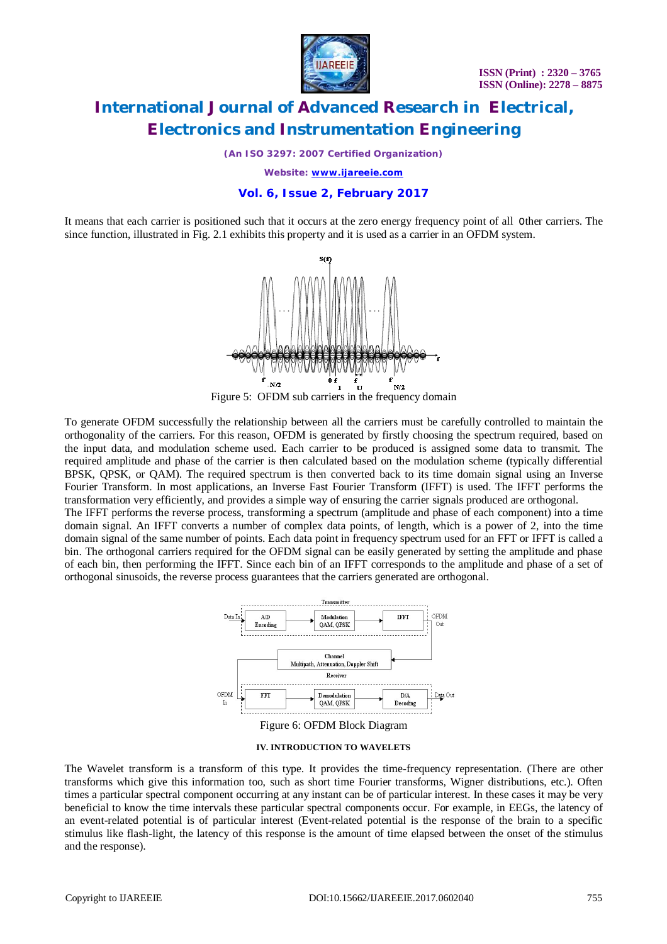

*(An ISO 3297: 2007 Certified Organization)*

*Website: [www.ijareeie.com](http://www.ijareeie.com)*

# **Vol. 6, Issue 2, February 2017**

It means that each carrier is positioned such that it occurs at the zero energy frequency point of all other carriers. The since function, illustrated in Fig. 2.1 exhibits this property and it is used as a carrier in an OFDM system.



Figure 5: OFDM sub carriers in the frequency domain

To generate OFDM successfully the relationship between all the carriers must be carefully controlled to maintain the orthogonality of the carriers. For this reason, OFDM is generated by firstly choosing the spectrum required, based on the input data, and modulation scheme used. Each carrier to be produced is assigned some data to transmit. The required amplitude and phase of the carrier is then calculated based on the modulation scheme (typically differential BPSK, QPSK, or QAM). The required spectrum is then converted back to its time domain signal using an Inverse Fourier Transform. In most applications, an Inverse Fast Fourier Transform (IFFT) is used. The IFFT performs the transformation very efficiently, and provides a simple way of ensuring the carrier signals produced are orthogonal. The IFFT performs the reverse process, transforming a spectrum (amplitude and phase of each component) into a time

domain signal. An IFFT converts a number of complex data points, of length, which is a power of 2, into the time domain signal of the same number of points. Each data point in frequency spectrum used for an FFT or IFFT is called a bin. The orthogonal carriers required for the OFDM signal can be easily generated by setting the amplitude and phase of each bin, then performing the IFFT. Since each bin of an IFFT corresponds to the amplitude and phase of a set of orthogonal sinusoids, the reverse process guarantees that the carriers generated are orthogonal.



**IV. INTRODUCTION TO WAVELETS**

The Wavelet transform is a transform of this type. It provides the time-frequency representation. (There are other transforms which give this information too, such as short time Fourier transforms, Wigner distributions, etc.). Often times a particular spectral component occurring at any instant can be of particular interest. In these cases it may be very beneficial to know the time intervals these particular spectral components occur. For example, in EEGs, the latency of an event-related potential is of particular interest (Event-related potential is the response of the brain to a specific stimulus like flash-light, the latency of this response is the amount of time elapsed between the onset of the stimulus and the response).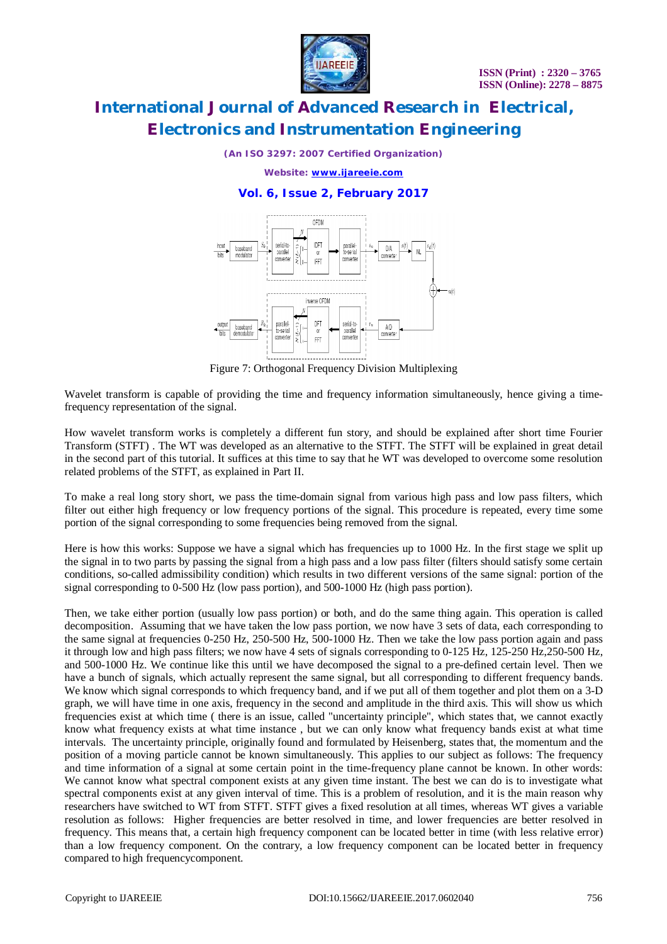

*(An ISO 3297: 2007 Certified Organization)*

*Website: [www.ijareeie.com](http://www.ijareeie.com)*

### **Vol. 6, Issue 2, February 2017**



Figure 7: Orthogonal Frequency Division Multiplexing

Wavelet transform is capable of providing the time and frequency information simultaneously, hence giving a timefrequency representation of the signal.

How wavelet transform works is completely a different fun story, and should be explained after short time Fourier Transform (STFT) . The WT was developed as an alternative to the STFT. The STFT will be explained in great detail in the second part of this tutorial. It suffices at this time to say that he WT was developed to overcome some resolution related problems of the STFT, as explained in Part II.

To make a real long story short, we pass the time-domain signal from various high pass and low pass filters, which filter out either high frequency or low frequency portions of the signal. This procedure is repeated, every time some portion of the signal corresponding to some frequencies being removed from the signal.

Here is how this works: Suppose we have a signal which has frequencies up to 1000 Hz. In the first stage we split up the signal in to two parts by passing the signal from a high pass and a low pass filter (filters should satisfy some certain conditions, so-called admissibility condition) which results in two different versions of the same signal: portion of the signal corresponding to 0-500 Hz (low pass portion), and 500-1000 Hz (high pass portion).

Then, we take either portion (usually low pass portion) or both, and do the same thing again. This operation is called decomposition. Assuming that we have taken the low pass portion, we now have 3 sets of data, each corresponding to the same signal at frequencies 0-250 Hz, 250-500 Hz, 500-1000 Hz. Then we take the low pass portion again and pass it through low and high pass filters; we now have 4 sets of signals corresponding to 0-125 Hz, 125-250 Hz,250-500 Hz, and 500-1000 Hz. We continue like this until we have decomposed the signal to a pre-defined certain level. Then we have a bunch of signals, which actually represent the same signal, but all corresponding to different frequency bands. We know which signal corresponds to which frequency band, and if we put all of them together and plot them on a 3-D graph, we will have time in one axis, frequency in the second and amplitude in the third axis. This will show us which frequencies exist at which time ( there is an issue, called "uncertainty principle", which states that, we cannot exactly know what frequency exists at what time instance , but we can only know what frequency bands exist at what time intervals. The uncertainty principle, originally found and formulated by Heisenberg, states that, the momentum and the position of a moving particle cannot be known simultaneously. This applies to our subject as follows: The frequency and time information of a signal at some certain point in the time-frequency plane cannot be known. In other words: We cannot know what spectral component exists at any given time instant. The best we can do is to investigate what spectral components exist at any given interval of time. This is a problem of resolution, and it is the main reason why researchers have switched to WT from STFT. STFT gives a fixed resolution at all times, whereas WT gives a variable resolution as follows: Higher frequencies are better resolved in time, and lower frequencies are better resolved in frequency. This means that, a certain high frequency component can be located better in time (with less relative error) than a low frequency component. On the contrary, a low frequency component can be located better in frequency compared to high frequencycomponent.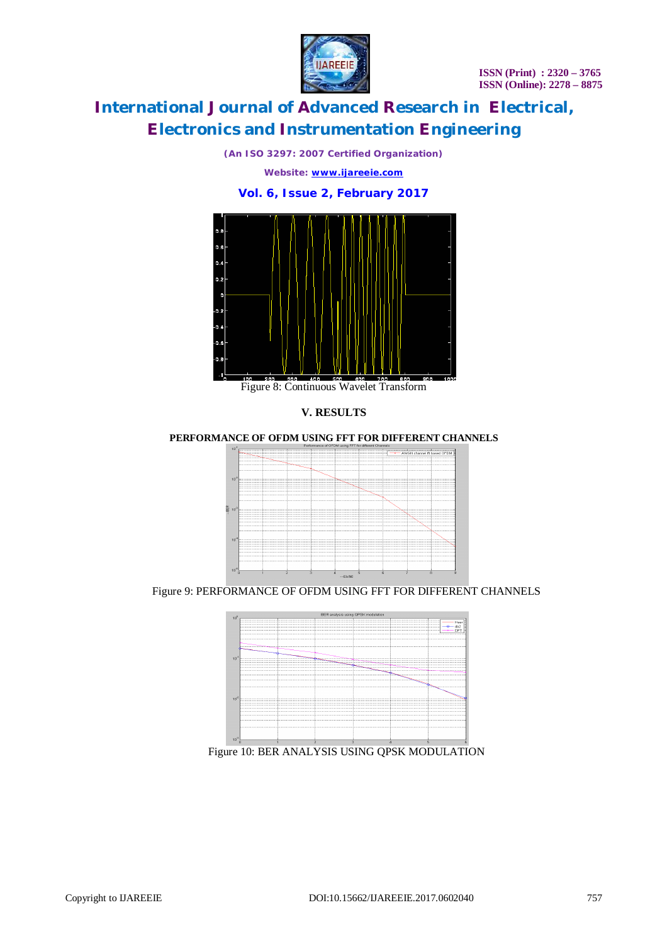**ISSN (Print) : 2320 – 3765 ISSN (Online): 2278 – 8875**



# **International Journal of Advanced Research in Electrical, Electronics and Instrumentation Engineering**



# **V. RESULTS**

**PERFORMANCE OF OFDM USING FFT FOR DIFFERENT CHANNELS**



Figure 9: PERFORMANCE OF OFDM USING FFT FOR DIFFERENT CHANNELS



Figure 10: BER ANALYSIS USING QPSK MODULATION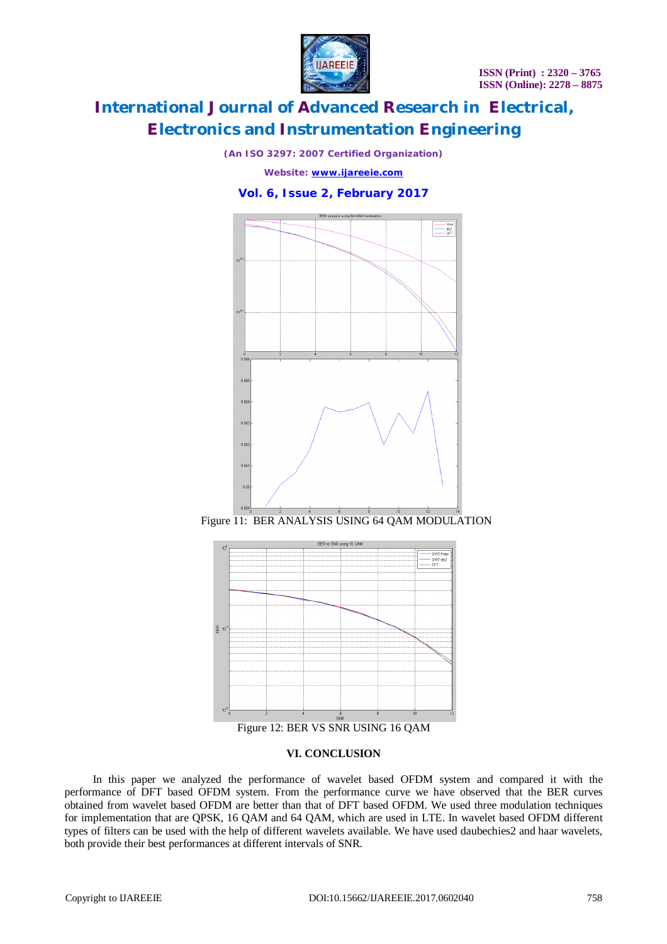

*(An ISO 3297: 2007 Certified Organization)*

*Website: [www.ijareeie.com](http://www.ijareeie.com)*

# **Vol. 6, Issue 2, February 2017**



Figure 11: BER ANALYSIS USING 64 QAM MODULATION



### **VI. CONCLUSION**

 In this paper we analyzed the performance of wavelet based OFDM system and compared it with the performance of DFT based OFDM system. From the performance curve we have observed that the BER curves obtained from wavelet based OFDM are better than that of DFT based OFDM. We used three modulation techniques for implementation that are QPSK, 16 QAM and 64 QAM, which are used in LTE. In wavelet based OFDM different types of filters can be used with the help of different wavelets available. We have used daubechies2 and haar wavelets, both provide their best performances at different intervals of SNR.